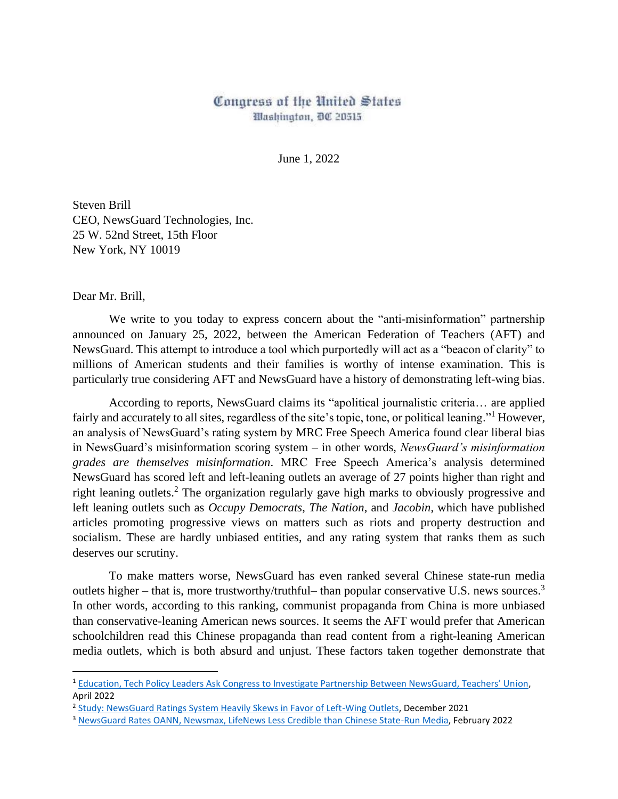## Congress of the United States Washington, DC 20515

June 1, 2022

Steven Brill CEO, NewsGuard Technologies, Inc. 25 W. 52nd Street, 15th Floor New York, NY 10019

Dear Mr. Brill,

We write to you today to express concern about the "anti-misinformation" partnership announced on January 25, 2022, between the American Federation of Teachers (AFT) and NewsGuard. This attempt to introduce a tool which purportedly will act as a "beacon of clarity" to millions of American students and their families is worthy of intense examination. This is particularly true considering AFT and NewsGuard have a history of demonstrating left-wing bias.

According to reports, NewsGuard claims its "apolitical journalistic criteria… are applied fairly and accurately to all sites, regardless of the site's topic, tone, or political leaning."<sup>1</sup> However, an analysis of NewsGuard's rating system by MRC Free Speech America found clear liberal bias in NewsGuard's misinformation scoring system – in other words, *NewsGuard's misinformation grades are themselves misinformation*. MRC Free Speech America's analysis determined NewsGuard has scored left and left-leaning outlets an average of 27 points higher than right and right leaning outlets.<sup>2</sup> The organization regularly gave high marks to obviously progressive and left leaning outlets such as *Occupy Democrats*, *The Nation*, and *Jacobin*, which have published articles promoting progressive views on matters such as riots and property destruction and socialism. These are hardly unbiased entities, and any rating system that ranks them as such deserves our scrutiny.

To make matters worse, NewsGuard has even ranked several Chinese state-run media outlets higher – that is, more trustworthy/truthful– than popular conservative U.S. news sources.<sup>3</sup> In other words, according to this ranking, communist propaganda from China is more unbiased than conservative-leaning American news sources. It seems the AFT would prefer that American schoolchildren read this Chinese propaganda than read content from a right-leaning American media outlets, which is both absurd and unjust. These factors taken together demonstrate that

<sup>&</sup>lt;sup>1</sup> [Education, Tech Policy Leaders Ask Congress to Investigate Partnership Between NewsGuard, Teachers' Un](https://www.nationalreview.com/news/education-tech-policy-leaders-ask-congress-to-investigate-partnership-between-newsguard-teachers-union/)ion. April 2022

<sup>&</sup>lt;sup>2</sup> [Study: NewsGuard Ratings System Heavily Skews in Favor of Left-Wing Outlets,](https://www.newsbusters.org/blogs/free-speech/joseph-vazquez/2021/12/13/study-newsguard-ratings-system-heavily-skews-favor-left) December 2021

<sup>3</sup> [NewsGuard Rates OANN, Newsmax, LifeNews Less Credible than Chinese State-Run Media,](https://www.newsbusters.org/blogs/free-speech/catherine-salgado/2022/02/02/absurd-newsguard-rates-oann-newsmax-lifenews-less) February 2022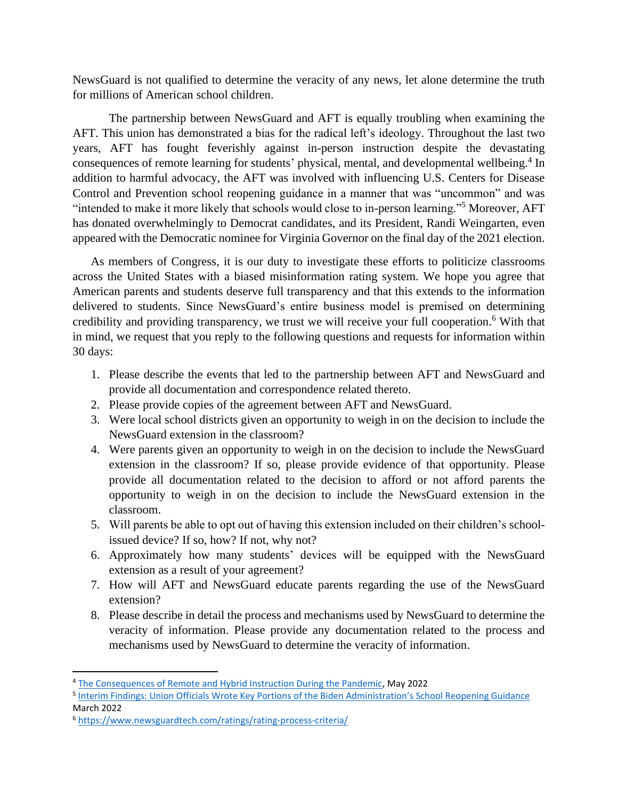NewsGuard is not qualified to determine the veracity of any news, let alone determine the truth for millions of American school children.

The partnership between NewsGuard and AFT is equally troubling when examining the AFT. This union has demonstrated a bias for the radical left's ideology. Throughout the last two years, AFT has fought feverishly against in-person instruction despite the devastating consequences of remote learning for students' physical, mental, and developmental wellbeing.<sup>4</sup> In addition to harmful advocacy, the AFT was involved with influencing U.S. Centers for Disease Control and Prevention school reopening guidance in a manner that was "uncommon" and was "intended to make it more likely that schools would close to in-person learning."<sup>5</sup> Moreover, AFT has donated overwhelmingly to Democrat candidates, and its President, Randi Weingarten, even appeared with the Democratic nominee for Virginia Governor on the final day of the 2021 election.

As members of Congress, it is our duty to investigate these efforts to politicize classrooms across the United States with a biased misinformation rating system. We hope you agree that American parents and students deserve full transparency and that this extends to the information delivered to students. Since NewsGuard's entire business model is premised on determining credibility and providing transparency, we trust we will receive your full cooperation. <sup>6</sup> With that in mind, we request that you reply to the following questions and requests for information within 30 days:

- 1. Please describe the events that led to the partnership between AFT and NewsGuard and provide all documentation and correspondence related thereto.
- 2. Please provide copies of the agreement between AFT and NewsGuard.
- 3. Were local school districts given an opportunity to weigh in on the decision to include the NewsGuard extension in the classroom?
- 4. Were parents given an opportunity to weigh in on the decision to include the NewsGuard extension in the classroom? If so, please provide evidence of that opportunity. Please provide all documentation related to the decision to afford or not afford parents the opportunity to weigh in on the decision to include the NewsGuard extension in the classroom.
- 5. Will parents be able to opt out of having this extension included on their children's schoolissued device? If so, how? If not, why not?
- 6. Approximately how many students' devices will be equipped with the NewsGuard extension as a result of your agreement?
- 7. How will AFT and NewsGuard educate parents regarding the use of the NewsGuard extension?
- 8. Please describe in detail the process and mechanisms used by NewsGuard to determine the veracity of information. Please provide any documentation related to the process and mechanisms used by NewsGuard to determine the veracity of information.

<sup>5</sup> [Interim Findings: Union Officials Wrote Key Portions of the Biden Administration's School Reopening Guidance](https://republicans-oversight.house.gov/report/interim-findings-union-officials-wrote-key-portions-of-the-biden-administrations-school-reopening-guidance/) March 2022

<sup>&</sup>lt;sup>4</sup> [The Consequences of Remote and Hybrid Instruction During the Pandemic,](https://cepr.harvard.edu/files/cepr/files/5-4.pdf?m=1651690491) May 2022

<sup>6</sup> <https://www.newsguardtech.com/ratings/rating-process-criteria/>